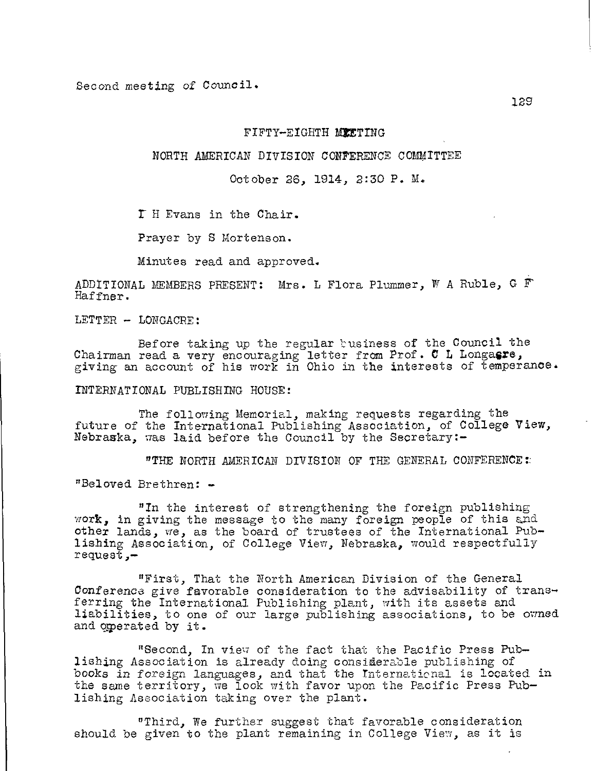Second meeting of Council.

#### FIFTY-EIGHTH MEETING

NORTH AMERICAN DIVISION CONFERENCE COMMITTEE

October 26, 1914, 2:30 P. M.

I H Evans in the Chair.

Prayer by S Mortenson.

Minutes read and approved.

ADDITIONAL MEMBERS PRESENT: Mrs. L Flora Plummer, W A Ruble, G F Haffner.

LETTER - LONGACRE:

Before taking up the regular business of the Council the Chairman read a very encouraging letter from Prof. C L Longasre, giving an account of his work in Ohio in the interests of temperance.

INTERNATIONAL PUBLISHING HOUSE:

The following Memorial, making requests regarding the future of the International Publishing Association, of College View, Nebraska, was laid before the Council by the Secretary:-

"THE NORTH AMERICAN DIVISION OF THE GENERAL CONFERENCE:

"Beloved Brethren: -

"In the interest of strengthening the foreign publishing work, in giving the message to the many foreign people of this and other lands, we, as the board of trustees of the International Publishing Association, of College View, Nebraska, would respectfully request,-

"First, That the North American Division of the General Conference give favorable consideration to the advisability of transferring the International Publishing plant, with its assets and liabilities, to one of our large publishing associations, to be owned and operated by it.

"Second, In view of the fact that the Pacific Press Publishing Association is already doing considerable publishing of books in foreign languages, and that the International is located in the same territory, we look with favor upon the Pacific Press Publishing Association taking over the plant.

"Third, We further suggest that favorable consideration should be given to the plant remaining in College View, as it is

129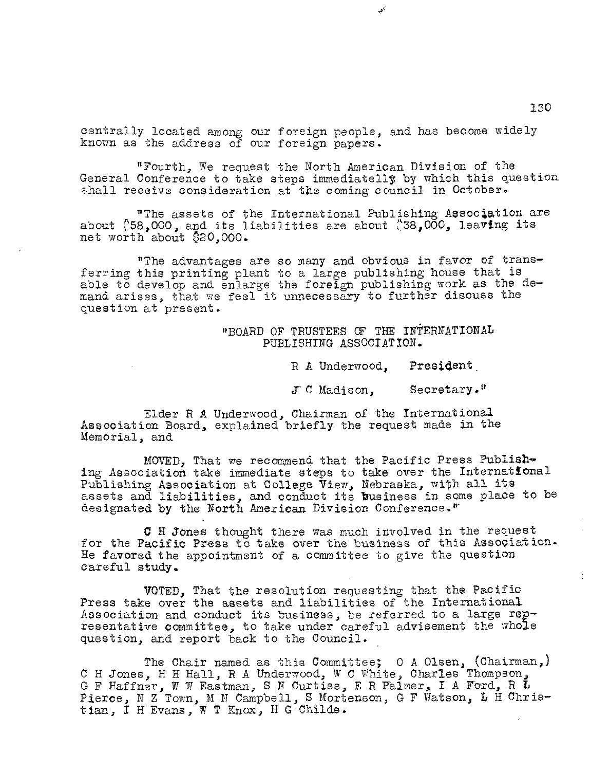centrally located among our foreign people, and has become widely known as the address of our foreign papers.

"Fourth, We request the North American Division of the General Conference to take steps immediatelly by which this question shall receive consideration at the coming council in October.

"The assets of the International Publishing Association are about  $\$58,000$ , and its liabilities are about  $\$38,000$ , leaving its net worth about  $$20,000$ .

"The advantages are so many and obvious in favor of trans ferring this printing plant to a large publishing house that is able to develop and enlarge the foreign publishing work as the demand arises, that we feel it unnecessary to further discuss the question at present.

> "BOARD OF TRUSTEES OF THE INTERNATIONAL PUBLISHING ASSOCIATION.

> > R A Underwood, President

JC Madison, Secretary."

Elder R A Underwood, Chairman of the International Association Board, explained briefly the request made in the Memorial, and

MOVED, That we recommend that the Pacific Press Publishing Association take immediate steps to take over the International Publishing Association at College View, Nebraska, with all its assets and liabilities, and conduct its business in some place to be designated by the North American Division Conference."'

C H Jones thought there was much involved in the request for the Pacific Press to take over the business of this Association. He favored the appointment of a committee to give the question careful study.

VOTED, That the resolution requesting that the Pacific Press take over the assets and liabilities of the International Association and conduct its business, be referred to a large rep resentative committee, to take under careful advisement the whole question, and report back to the Council.

The Chair named as this Committee; 0 A Olsen, (Chairman,) C H Jones, H H Hall, R A Underwood, W C White, Charles Thompson, G F Haffner, W W Eastman, S N Curtiss, E R Palmer, I A Ford, R L Pierce, N Z Town, M N Campbell, S Mortenson, G F Watson, L H Christian, I H Evans, W T Knox, H G Childs.

130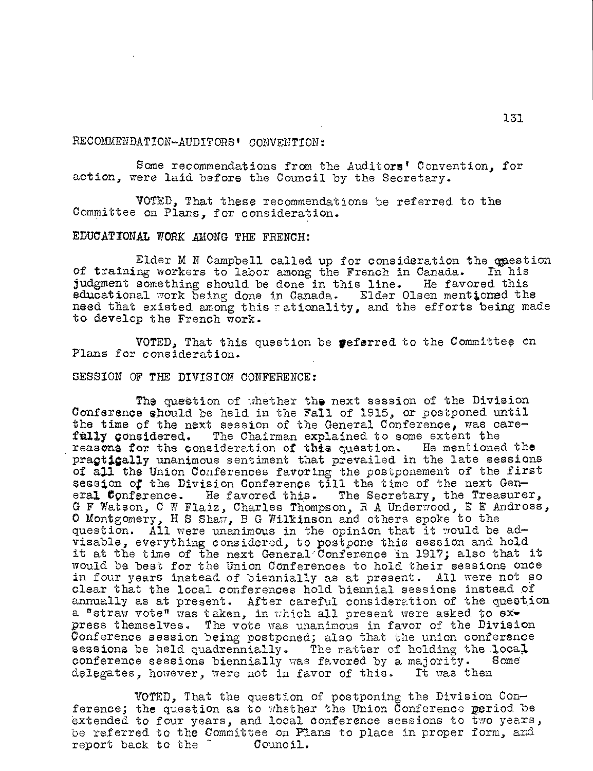## RECOMMENDATION-AUDITORS' CONVENTION:

Some recommendations from the Auditors' Convention, for action, were laid before the Council by the Secretary.

VOTED, That these recommendations be referred to the Committee on Plans, for consideration.

## EDUCATIONAL WORK AMONG THE FRENCH:

Elder M  $N$  Campbell called up for consideration the question of training workers to labor among the French in Canada. In his judgment something should be done in this line. He favored this judgment something should be done in this line. educational work being done in Canada. Elder Olsen mentioned the need that existed among this rationality, and the efforts being made to develop the French work.

VOTED, That this question be peferred to the Committee on Plans for consideration.

#### SESSION OF THE DIVISION CONFERENCE:

The question of whether the next session of the Division Conference should be held in the Fall of 1915, or postponed until the time of the next session of the General Conference, was care-<br>**fully considered.** The Chairman explained to some extent the The Chairman explained to some extent the<br>ideration of this question. He mentioned the reasons for the consideration of this question. praptigally unanimous sentiment that prevailed in the late sessions of all the Union Conferences favoring the postponement of the first session of the Division Conference till the time of the next General Conference. He favored this. The Secretary, the Treasurer, G F Watson, C W Flaiz, Charles Thompson, R A Underwood, E E Andross, 0 Montgomery, H S Shaw, B G Wilkinson and others spoke to the question. All were unanimous in the opinion that it would be advisable, everything considered, to postpone this session and hold it at the time of the next General:Conference in 1917; also that it would be best for the Union Conferences to hold their sessions once in four years instead of biennially as at present. All were not so clear that the local conferences hold biennial sessions instead of annually as at present. After careful consideration of the question a "straw vote" was taken, in which all present were asked to express themselves. The vote was unanimous in favor of the Division Conference session being postponed; also that the union conference sessions be held quadrennially. The matter of holding the local conference sessions biennially was favored by a majority. Some<br>delegates, however, were not in favor of this. It was then delegates, however, were not in favor of this.

VOTED, That the question of postponing the Division Conference; the question as to whether the Union Conference period be extended to four years, and local conference sessions to two years, be referred to the Committee on Plans to place in proper form, and report back to the  $\tilde{c}$  Council.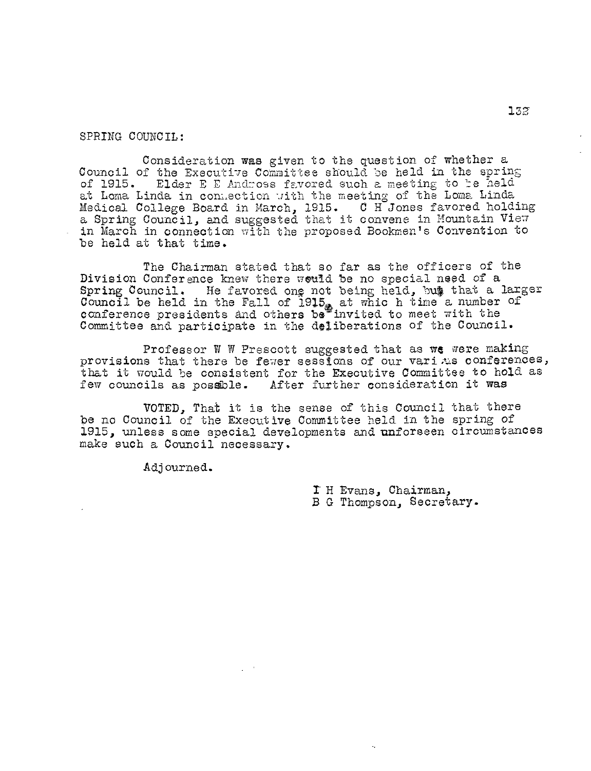SPRING COUNCIL:

Consideration was given to the question of whether a Council of the Executive Committee should be held in the spring of 1915. Elder E E Andross favored such a meeting to te held at Loma Linda in connection with the meeting of the Loma Linda Medical College Board in March, 1915. 0 H Jones favored holding a Spring Council, and suggested that it convene in Mountain View in March in connection with the proposed Bookmen's Convention to be held at that time.

The Chairman stated that so far as the officers of the Division Conference knew there would be no special need of a Spring Council. He favored ong not being held, but that a larger Council be held in the Fall of 1915, at which time a number of conference presidents and others be invited to meet with the Committee and participate in the deliberations of the Council.

Professor W W Prescott suggested that as  $w$ e were making provisions that there be fewer sessions of our varitus conferences, that it would be consistent for the Executive Committee to hold as few councils as possible. After further consideration it was After further consideration it was

VOTED, That it is the sense of this Council that there be no Council of the Executive Committee held in the spring of 1915, unless some special developments and unforseen circumstances make such a Council necessary.

Adjourned.

r H Evans, Chairman, B G Thompson, Secretary.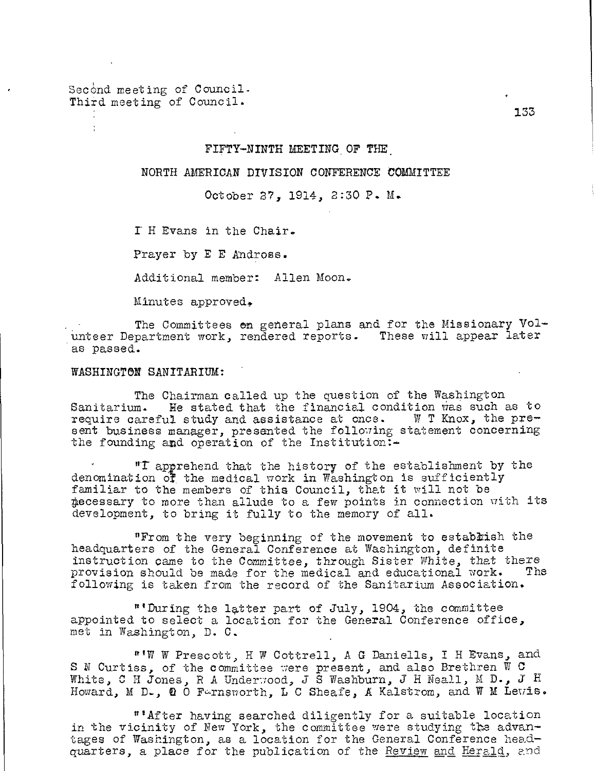Second meeting of Council. Third meeting of Council.

## FIFTY—NINTH MEETING OF THE.

## NORTH AMERICAN DIVISION CONFERENCE COMMITTEE

October 27, 1914, 2:30 P. M.

E H Evans in the Chair.

Prayer by E E Andross.

Additional member: Allen Moon.

Minutes approved.

The Committees en general plans and for the Missionary Vol unteer Department work, rendered reports. These will appear later as passed.

#### WASHINGTON SANITARIUM:

The Chairman called up the question of the Washington Sanitarium. He stated that the financial condition was such a He stated that the financial condition was such as to require careful study and assistance at once. W T Knox, the pre sent business manager, presented the following statement concerning the founding and operation of the Institution:—

"r apprehend that the history of the establishment by the denomination  $\overline{df}$  the medical work in Washington is sufficiently familiar to the members of this Council, that it will not be 4ecessary to more than allude to a few points in connection with its development, to bring it fully to the memory of all.

"From the very beginning of the movement to establish the headquarters of the General Conference at Washington, definite instruction came to the Committee, through Sister White, that there provision should be made for the medical and educational work. The following is taken from the record of the Sanitarium Association.

"'During the latter part of July, 1904, the committee appointed to select a location for the General Conference office, met in Washington, D. C.

"'W W Prescott, H W Cottrell, A G Daniells, I H Evans, and S N Curtiss, of the committee were present, and also Brethren W C White, C H Jones, R A Underwood, J S Washburn, J H Neall, M D., J . Howard, M D., Q O Farnsworth, L C Sheafe, A Kalstrom, and W M Lewis.

"'After having searched diligently for a suitable location in the vicinity of New York, the committee were studying the advantages of Washington, as a location for the General Conference headquarters, a place for the publication of the Review and Herald, and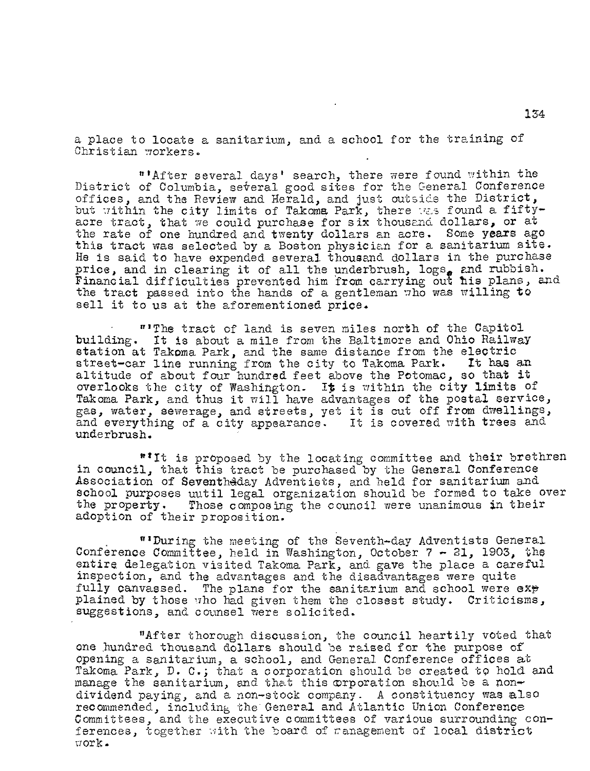a place to locate a sanitarium, and a school for the training of Christian workers.

"After several days' search, there were found within the District of Columbia, several good sites for the General Conference offices, and the Review and Herald, and just outside the District, but within the city limits of Takoma Park, there was found a fiftyacre tract, that we could purchase for six thousand dollars, or at the rate of one hundred and twenty dollars an acre. Some years ago this tract was selected by a Boston physician for a sanitarium site. He is said to have expended several thousand dollars in the purchase price, and in clearing it of all the underbrush,  $\log s_e$  and rubbish. Financial difficulties prevented him from carrying out his plans, and the tract passed into the hands of a gentleman who was willing to sell it to us at the aforementioned price.

"The tract of land is seven miles north of the Capitol building. It is about a mile from the Baltimore and Ohio Railway station at Takoma Park, and the same distance from the electric<br>street-car line running from the city to Takoma Park. It has an street-car line running from the city to Takoma Park. It has an altitude of about four hundred feet above the Potomac, so that it overlooks the city of Washington. It is within the city limits of Takoma Park, and thus it will have advantages of the postal service, gas, water, sewerage, and streets, yet it is cut off from dwellings, and everything of a city appearance. It is covered with trees and underbrush.

"It is proposed by the locating committee and their brethren in council, that this tract be purchased by the General Conference Association of Seventh4day Adventists, and held for sanitarium and school purposes uutil legal organization should be formed to take over<br>the property. Those composing the council were unanimous in their Those composing the council were unanimous in their adoption of their proposition.

"'During the meeting of the Seventh-day Adventists General Conference Committee, held in Washington, October 7 - 21, 1903, the entire delegation visited Takoma Park, and gave the place a careful inspection, and the advantages and the disadvantages were quite fully canvassed. The plans for the sanitarium and school were  $exp$ plained by those who had given them the closest study. Criticisms, suggestions, and counsel were solicited.

"After thorough discussion, the council heartily voted that One hundred thousand dollars should be raised for the purpose of Opening a sanitarium, a school, and General Conference offices at Takoma Park, D. C.; that a corporation should be created to hold and manage the sanitarium, and that this orporation should be a nondividend paying, and a non-stock company. A constituency was also recommended, including the General and Atlantic Union Conference Committees, and the executive committees of various surrounding conferences, together with the board of ranagement of local district work.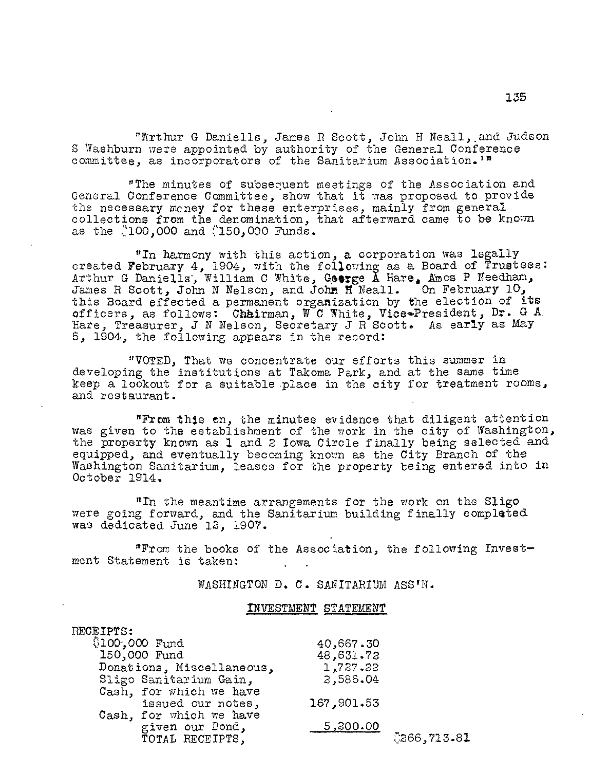"Arthur G Daniells, James R Scott, John H Neall,.and Judson S Washburn were appointed by authority of the General Conference committee, as incorporators of the Sanitarium Association.'"

"The minutes of subsequent meetings of the Association and General Conference Committee, show that it was proposed to provide the necessary money for these enterprises, mainly from general collections from the denomination, that afterward came to be known as the :100,000 and :150,000 Funds.

"In harmony with this action, a corporation was legally created February 4, 1904, with the following as a Board of Trustees: Arthur G Daniells, William C White, George  $\bar{\text{A}}$  Hare, Amos P Needham, James R Scott, John N Nelson, and John H Neall. On February  $10$ , this Board effected a permanent organization by the election of its officers, as follows: Chairman,  $W^{\dagger}$ C White, Vice $\bullet$ President, Dr. G A. Hare, Treasurer, J N Nelson, Secretary J R Scott. As early as May 5, 1904, the following appears in the record:

"VOTED, That we concentrate our efforts this summer in developing the institutions at Takoma Park, and at the same time keep a lookout for a suitable,place in the city for treatment rooms, and restaurant.

"From this en, the minutes evidence that diligent attention was given to the establishment of the work in the city of Washington, the property known as 1 and 2 Iowa Circle finally being selected and equipped, and eventually becoming known as the City Branch of the Washington Sanitarium, leases for the property being entered into in October 1914.

"In the meantime arrangements for the work on the Sligo were going forward, and the Sanitarium building finally completed was dedicated June 12, 1907.

"From the books of the Association, the following Invest ment Statement is taken:

WASHINGTON D. C. SANITARIUM ASS'N.

## INVESTMENT STATEMENT

| RECEIPTS:                 |            |             |
|---------------------------|------------|-------------|
| $$100,000$ Fund           | 40,667.30  |             |
| 150,000 Fund              | 48,631.72  |             |
| Donations, Miscellaneous, | 1,727.22   |             |
| Sligo Sanitarium Gain,    | 2,586.04   |             |
| Cash, for which we have   |            |             |
| issued our notes,         | 167,901.53 |             |
| Cash, for which we have   |            |             |
| given our Bond,           | 5,300.00   |             |
| TOTAL RECEIPTS,           |            | 0266,713.81 |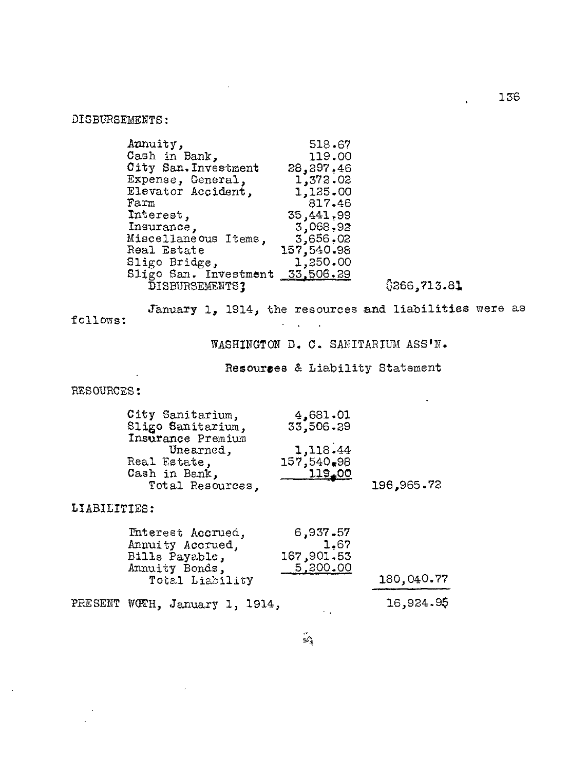DISBURSEMENTS:

| Aunuity,                        | 518.67     |              |
|---------------------------------|------------|--------------|
| Cash in Bank,                   | 119.00     |              |
| City San. Investment            | 28,297.46  |              |
| Expense, General,               | 1,372.02   |              |
| Elevator Accident,              | 1,125.00   |              |
| Farm                            | 817.46     |              |
| Interest,                       | 35,441,99  |              |
| Insurance,                      | 3,068,92   |              |
| Miscellaneous Items,            | 3,656,02   |              |
| Real Estate                     | 157,540.98 |              |
| Sligo Bridge,                   | 1,250.00   |              |
| Sligo San. Investment 33,506.29 |            |              |
| DISBURSEMENTS;                  |            | \$266,713.81 |

 $\ddot{\phantom{a}}$ 

136

 $\mathbf{r}$  and  $\mathbf{r}$ 

January 1, 1914, the resources and liabilities were as

follows:

WASHINGTON D. C. SANITARIUM ASS'N.

Resourses & Liability Statement

 $\sim$ 

RESOURCES:

| City Sanitarium,  | 4,681.01       |            |
|-------------------|----------------|------------|
| Sligo Sanitarium, | 33,506.89      |            |
| Insurance Premium |                |            |
| Unearned,         | 1,118.44       |            |
| Real Estate,      | 157,540,98     |            |
| Cash in Bank,     | <u> 119.00</u> |            |
| Total Resources,  |                | 196,965.72 |

 $\mathcal{A}^{\text{max}}$ 

LIABILITIES:

 $\overline{\phantom{a}}$ 

| Interest Accrued,<br>Annuity Accrued,<br>Bills Payable, | 6,937.57<br>1.67<br>167,901.53 |            |
|---------------------------------------------------------|--------------------------------|------------|
| Annuity Bonds,<br>Total Liability                       | 5,800.00                       | 180,040.77 |
| PRESENT WOTH, January 1, 1914,                          |                                | 16,924.95  |

 $\mathbb{Z}$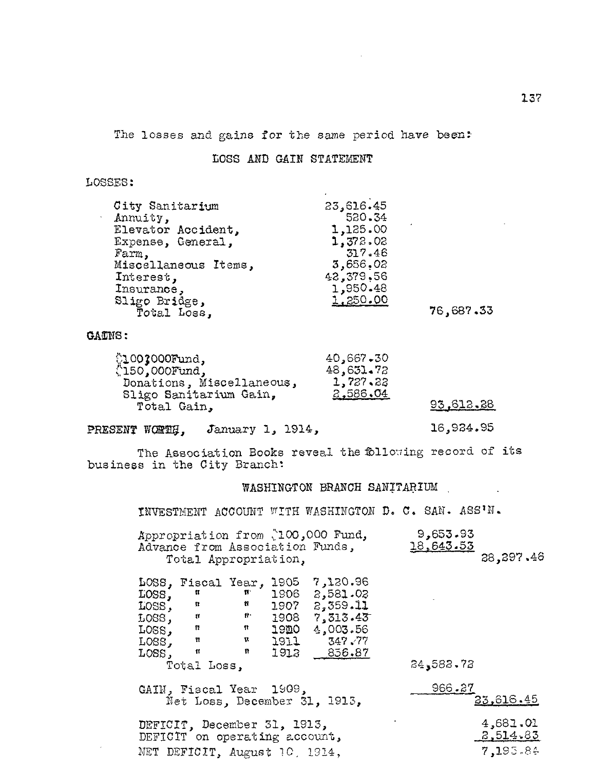The losses and gains for the same period have been:

## LOSS AND GAIN STATEMENT

## LOSSES:

| 23,616.45<br>City Sanitarium<br>520.34<br>Annuity, |                    |          |           |
|----------------------------------------------------|--------------------|----------|-----------|
|                                                    |                    |          |           |
|                                                    |                    |          |           |
|                                                    | Elevator Accident. | 1,125.00 |           |
| 1,372.02<br>Expense, General,                      |                    |          |           |
| 317.46<br>Farm,                                    |                    |          |           |
| 3,656.02<br>Miscellaneous Items,                   |                    |          |           |
| 42,379.56<br>Interest,                             |                    |          |           |
| 1,950.48<br>Insurance,                             |                    |          |           |
| 1,250.00<br>Sligo Bridge,                          |                    |          |           |
| Total Loss,                                        |                    |          | 76,687.33 |

## GA**ONS:**

|                           | 40,667,30 |
|---------------------------|-----------|
| (1003000Fund,             | 48,631.72 |
| Donations, Miscellaneous, | 1,727,22  |
| Sligo Sanitarium Gain,    | 2,586.04  |
| Total Gain,               |           |

## <u>93,612.28</u>

# PRESENT WORTH, January 1, 1914, 16,924.95

The Association Books reveal the following record of its business in the City Branch:

## WASHINGTON BRANCH SANITARIUM

INVESTMENT ACCOUNT WITH WASHINGTON D. C. SAN. ASS/N.

| Appropriation from 200,000 Fund, | 9,653.93          |
|----------------------------------|-------------------|
| Advance from Association Funds,  | <u> 18,643.53</u> |
| Total Appropriation,             | 28, 297, 46       |

|          | LOSS, Fiscal Year, 1905 |     |             | 7,120.96       |           |
|----------|-------------------------|-----|-------------|----------------|-----------|
| LOSS,    | Ħ                       | Ħ.  | 1906        | 2,581.02       |           |
| LOSS,    | n                       | n   | 1907        | 2,359.11       |           |
| $LOSS$ , | Ħ                       | fr: | 1908        | 7,313.43       |           |
| $LOSS$ , | π                       | 11  | <b>19DO</b> | 4,003.56       |           |
| LOSS,    | m                       | n   | 1911        | 347.77         |           |
| LOSS,    | Ħ                       | n   | 1912        | <u>856.87 </u> |           |
|          | Total Loss,             |     |             |                | 24,582.72 |

GAIN, Fiscal Year 1909, Net Loss, December 31, 1913,

DEFICIT, December 31, 1913, DEFICIT on operating account, NET DEFICIT, August 10, 1914,

| 966.27           |
|------------------|
| <u>23,616.45</u> |
|                  |
| 4,681.01         |
| <u>2,514.83</u>  |
| 7,195.84         |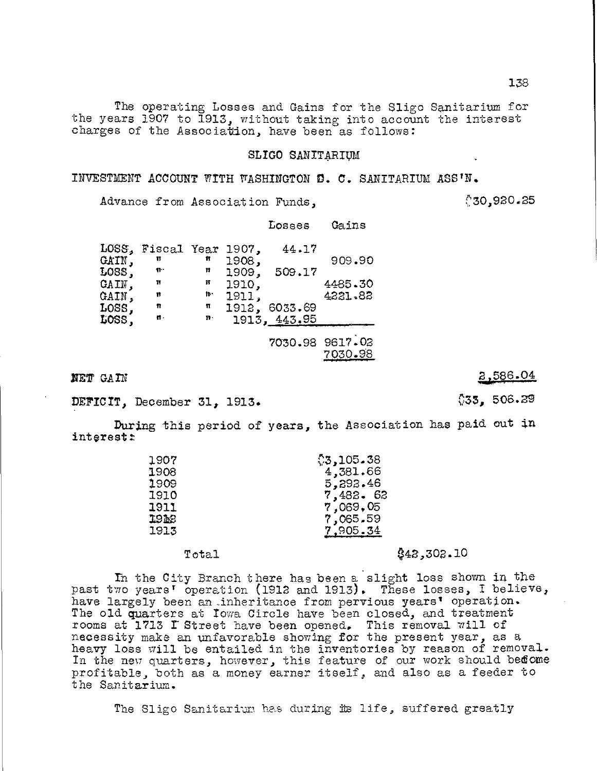The operating Losses and Gains for the Sligo Sanitarium for the years 1907 to 1913, without taking into account the interest charges of the Association, have been as follows:

## SLIGO SANITARIUM

INVESTMENT ACCOUNT WITH WASHINGTON D. C. SANITARIUM ASS'N.

Advance from Association Funds,

 $$30,920.25$ 

## Losses Gains

|               | LOSS, Fiscal Year 1907, |                |       | 44.17        |                 |
|---------------|-------------------------|----------------|-------|--------------|-----------------|
| CAIN,         | Ħ                       | Ħ              | 1908, |              | 909.90          |
| $LOSS$ ,      | $f^*$                   | Ħ              | 1909, | 509.17       |                 |
| CAIN,         | Ħ                       | Ħ              | 1910, |              | 4485.30         |
| GAIN,         | Ħ                       | $\mathbf{p}$ . | 1911, |              | 4221.82         |
| $_{\rm LOSS}$ | Ħ                       | π              | 1912, | 6033.69      |                 |
| LOSS,         | $\mathbf{r}$ .          | $n$ .          |       | 1913, 443.95 |                 |
|               |                         |                |       |              |                 |
|               |                         |                |       |              | 7030.98 9617.02 |
|               |                         |                |       |              | 7030.98         |

DEFICIT, December 31, 1913.  $29$ 

During this period of years, the Association has paid out in interest:

| 1907 | \$3,105.38 |
|------|------------|
| 1908 | 4,381.66   |
| 1909 | 5,292.46   |
| 1910 | 7,482.62   |
| 1911 | 7,069,05   |
| 1922 | 7,065.59   |
| 1913 | 7,905.34   |
|      |            |

Total  $$42,302.10$ 

In the City Branch there has been a slight loss shown in the past two years' operation (1912 and 1913). These losses, I believe, have largely been an,inheritance from pervious years' operation. The old quarters at Iowa Circle have been closed, and treatment rooms at 1713 L Street have been opened. This removal will of necessity make an unfavorable showing for the present year, as a heavy loss will be entailed in the inventories by reason of removal. In the new quarters, however, this feature of our work should bedome profitable, both as a money earner itself, and also as a feeder to the Sanitarium.

The Sligo Sanitarium has during its life, suffered greatly

138

**NET** GAIN  $3,586.04$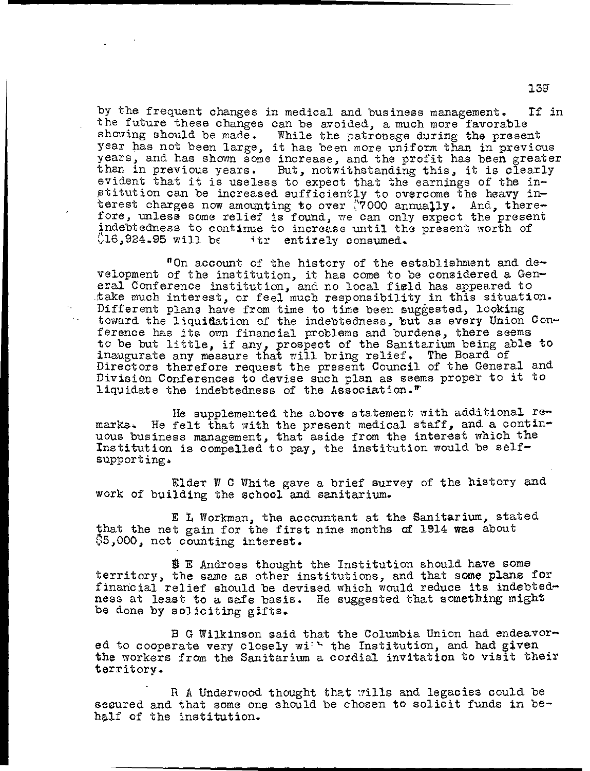by the frequent changes in medical and business management. If in the future these changes can be avoided, a much more favorable showing should be made. While the patronage during the present year has not been large, it has been more uniform than in previous years, and has shown some increase, and the profit has been greater than in previous years. But, notwithstanding this, it is clearly evident that it is useless to expect that the earnings of the institution can be increased sufficiently to overcome the heavy interest charges now amounting to over  $\sqrt{7000}$  annually. And, therefore, unless some relief is found, we can only expect the present indebtedness to continue to increase until the present worth of  $16.924.95$  will be  $-$  itr entirely consumed. itr entirely consumed.

"On account of the history of the establishment and development of the institution, it has come to be considered a General Conference institution, and no local field has appeared to take much interest, or feel much responsibility in this situation. Different plans have from time to time been suggested, looking toward the liquidation of the indebtedness, but as every Union Conference has its own financial problems and burdens, there seems to be but little, if any, prospect of the Sanitarium being able to inaugurate any measure that will bring relief. The Board of Directors therefore request the present Council of the General and Division Conferences to devise such plan as seems proper to it to liquidate the indebtedness of the Association."'

 $\mathcal{L}_{\text{max}}$ 

He supplemented the above statement with additional remarks. He felt that with the present medical staff, and a continuous business management, that aside from the interest which the Institution is compelled to pay, the institution would be selfsupporting.

Elder W C White gave a brief survey of the history and work of building the school and sanitarium.

E L Workman, the accountant at the Sanitarium, stated that the net gain for the first nine months of 1914 was about 35,000, not counting interest.

 $E$  Andross thought the Institution should have some territory, the same as other institutions, and that some plans for financial relief should be devised which would reduce its indebtedness at least to a safe basis. He suggested that something might be done by soliciting gifts.

B G Wilkinson said that the Columbia Union had endeavored to cooperate very closely with the Institution, and had given the workers from the Sanitarium a cordial invitation to visit their territory.

R A Underwood thought that wills and legacies could be secured and that some one should be chosen to solicit funds in behalf of the institution.

139-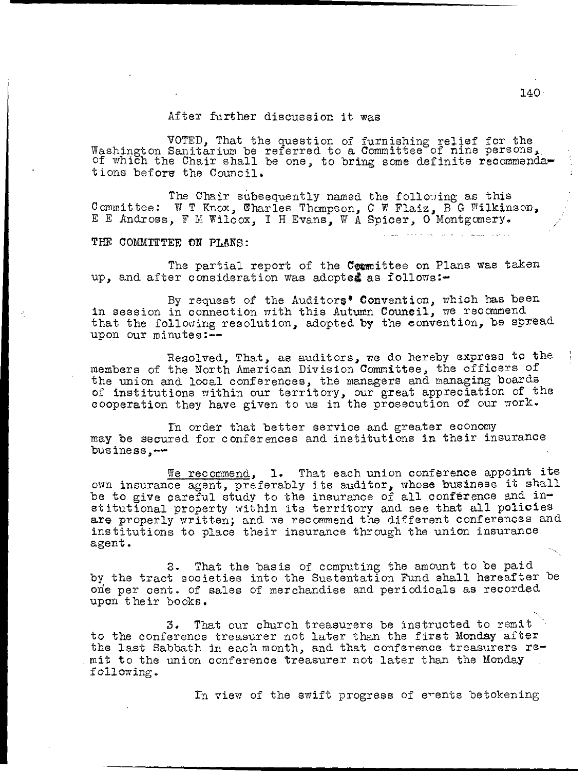## After further discussion it was

VOTED, That the question of furnishing relief for the Washington Sanitarium be referred to a Committee of nine persons,. of which the Chair shall be one, to bring some definite recommenda tions before the Council.

The Chair subsequently named the following as this Committee: W T Knox, Charles Thompson, C W Flaiz, B G Wilkinson, E E Andross, F M Wilcox, I H Evans, W A Spicer, 0 Montgomery.

## THE COMMITTEE ON PLANS:

The partial report of the Committee on Plans was taken up, and after consideration was adopted as follows:-

By request of the Auditors' Convention, which has been in session in connection with this Autumn Council, we recommend that the following resolution, adopted by the convention, be spread upon our minutes:--

Resolved, That, as auditors, we do hereby express to the members of the North American Division Committee, the officers of the union and local conferences, the managers and managing boards of institutions within our territory, our great appreciation of the cooperation they have given to us in the prosecution of our work.

In order that better service and greater economy may be secured for conferences and institutions in their insurance business,—

We recommend, 1. That each union conference appoint its own insurance agent, preferably its auditor, whose business it shall be to give careful study to the insurance of all conference and institutional property within its territory and see that all policies are properly written; and we recommend the different conferences and institutions to place their insurance through the union insurance agent.

2. That the basis of computing the amount to be paid by the tract societies into the Sustentation Fund shall hereafter be one per cent. of sales of merchandise and periodicals as recorded upon their books.

3. That our church treasurers be instructed to remit to the conference treasurer not later than the first Monday after the last Sabbath in each month, and that conference treasurers re mit to the union conference treasurer not later than the Monday following.

In view of the swift progress of events betokening

140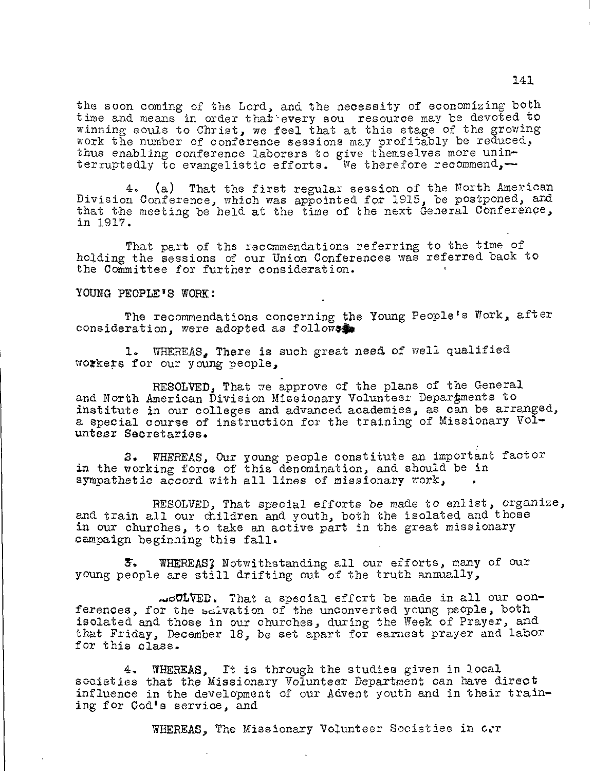the soon coming of the Lord, and the necessity of economizing both time and means in order that every sou resource may be devoted to winning souls to Christ, we feel that at this stage of the growing work the number of conference sessions may profitably be reduced, thus enabling conference laborers to give themselves more uninterruptedly to evangelistic efforts. We therefore recommend,-

4. (a) That the first regular session of the North American Division Conference, which was appointed for 1915, be postponed, and that the meeting be held at the time of the next General Conference, in 1917.

That part of the recommendations referring to the time of holding the sessions of our Union Conferences was referred back to the Committee for further consideration.

YOUNG PEOPLE'S WORK:

The recommendations concerning the Young People's Work, after consideration, were adopted as follows

1. WHEREAS, There is such great need of well qualified workers for our young people,

RESOLVED, That we approve of the plans of the General and North American Division Missionary Volunteer Deparpments to institute in our colleges and advanced academies, as can be arranged, a special course of instruction for the training of Missionary Volunteer Secretaries.

2. WHEREAS, Our young people constitute an important factor in the working force of this denomination, and should be in sympathetic accord with all lines of missionary work,

RESOLVED, That special efforts be made to enlist, organize, and train all our children and youth, both the isolated and those in our churches, to take an active part in the great missionary campaign beginning this fall.

&. WHEREAS; Notwithstanding all our efforts, many of our young people are still drifting out of the truth annually,

...oOLVED. That a special effort be made in all our conferences, for the salvation of the unconverted young people, both isolated and those in our churches, during the Week of Prayer, and that Friday, December 18, be set apart for earnest prayer and labor for this class.

4. WHEREAS, It is through the studies given in local societies that the Missionary Volunteer Department can have direct influence in the development of our Advent youth and in their training for God's service, and

WHEREAS, The Missionary Volunteer Societies in c.r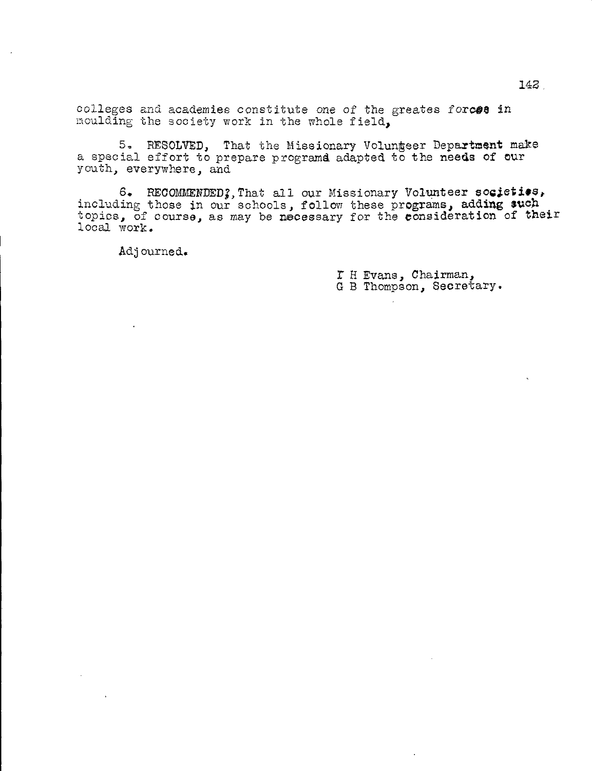colleges and academies constitute one of the greates forces in moulding the society work in the whole field,

5. RESOLVED, That the Missionary Volungeer Department make a special effort to prepare programd adapted to the needs of our youth, everywhere, and

6. RECOMMENDED; That all our Missionary Volunteer societios, including those in our schools, follow these programs, adding such topics, of course, as may be necessary for the consideration of their local work.

Adjourned.

r H Evans, Chairman, G B Thompson, Secretary.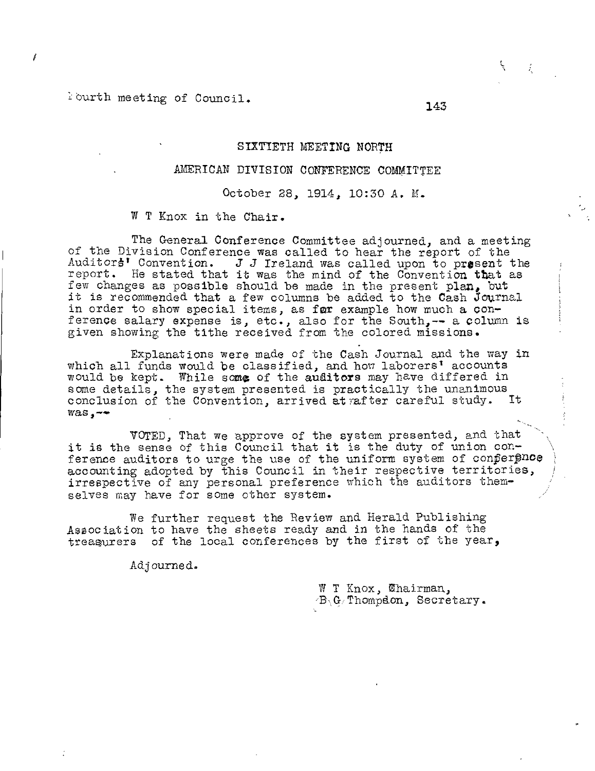Iburth meeting of Council.

#### SIXTIETH MEETING NORTH

## AMERICAN DIVISION CONFERENCE COMMITTEE

## October 28, 1914, 10:30 A. M.

W T Knox in the Chair.

The General Conference Committee adjourned, and a meeting of the Division Conference was called to hear the report of the Auditor $\sharp$ <sup>†</sup> Convention.  $J$  J Ireland was called upon to present the report. He stated that it was the mind of the Convention that as few changes as possible should be made in the present plan, but it is recommended that a few columns be added to the Cash Journal in order to show special items, as for example how much a conference salary expense is, etc., also for the South,-- a column is given showing the tithe received from the colored missions.

Explanations were made of the Cash Journal and the way in which all funds would be classified, and how laborers' accounts would be kept. While some of the auditors may have differed in some details, the system presented is practically the unanimous conclusion of the Convention, arrived at rafter careful study. It  $\text{was } -$ 

VOTED, That we approve of the system presented, and that it is the sense of this Council that it is the duty of union conference auditors to urge the use of the uniform system of conference accounting adopted by this Council in their respective territories, irrespective of any personal preference which the auditors themselves may have for some other system.

We further request the Review and Herald Publishing Association to have the sheets ready and in the hands of the treasurers of the local conferences by the first of the year,

Adjourned.

 $W$  T Knox,  $\mathfrak{Char}$ ,  $\mathcal{B}_1$ G/Thompdon, Secretary. Ă.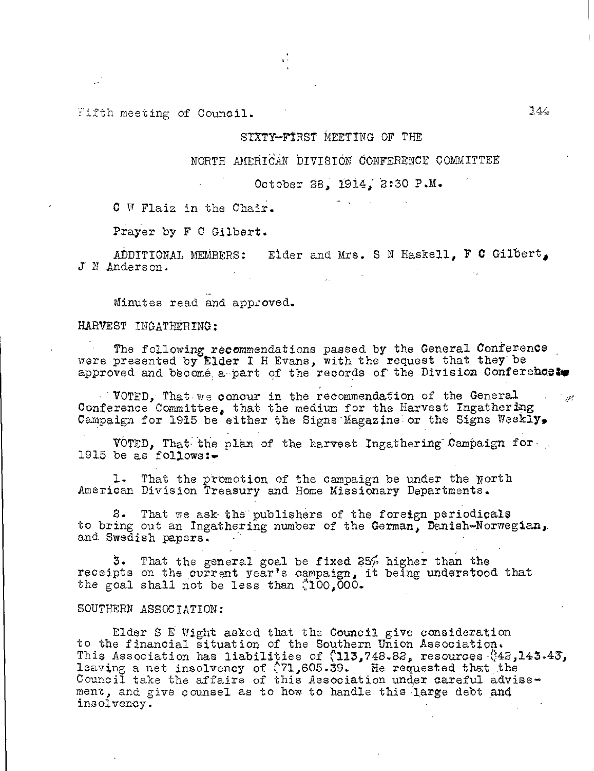Fifth meeting of Council.

## SIXTY—FtRST MEETING OF THE

## NORTH AMERICAN DIVISION" CONFERENCE COMMITTEE

October 88, 1914; 2:30 P.M.

C W Flaiz in the Chair.

Prayer by F C Gilbert.

ADDITIONAL MEMBERS: Elder and Mrs. S N Haskell. F C Gilbert, J N Anderson.

Minutes read and approved.

## HARVEST INGATRERING:

The following recommendations passed by the General Conference were presented by Elder I H Evans, with the request that they be approved and become a part of the records of the Division Conference to

VOTED, That we concur in the recommendation of the General  $\mathcal{L} = \frac{1}{2} \mathcal{L}$ Conference Committee, that the medium for the Harvest Ingathering Campaign for 1915 be either the Signs-Magazine or the Signs- Weekly.

VOTED, That the plan of the harvest Ingathering-Campaign for-1915 be as  $f$ ollows:-

1. That the promotion of the campaign be under the North American Division Treasury and Home Missionary Departments.

8. That we ask the publishers of the foreign periodicals to bring out an Ingathering number of the German, Danish—Norwegian,. and Swedish papers.

3. receipts on the current year's campaign, it being understood that the goal shall not be less than (100,000. That the general goal be fixed  $25%$  higher than the

#### SOUTHERN ASSOCTATION:

Elder S E Wight asked that the Council give consideration to the financial situation of the Southern Union Association. This Association has liabilities of  $(113,748.82)$  resources  $(42,143.43)$ leaving a net insolvency of  $(71,605.39)$ . He requested that the Council take the affairs of this Association under careful advise ment, and give counsel as to how- to handle this-large debt and insolvency.

 $744$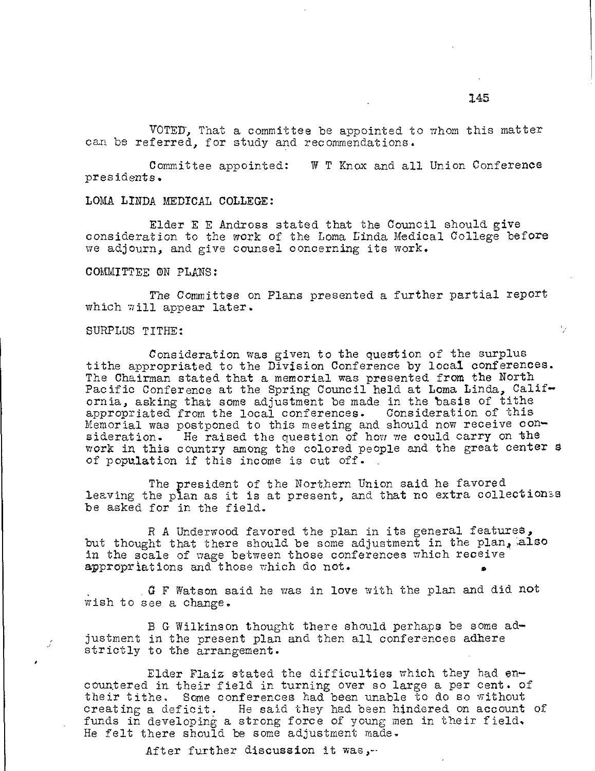VOTER, That a committee be appointed to whom this matter can be referred, for study and recommendations.

Committee appointed: W T Knox and all Union Conference presidents.

### LOMA LINDA MEDICAL COLLEGE:

Elder E E Andross stated that the Council should give consideration to the work of the Loma Linda Medical College before we adjourn, and give counsel concerning its work.

#### COMMITTEE ON PLANS:

The Committee on Plans presented a further partial report which will appear later.

#### SURPLUS TITHE:

Consideration was given to the question of the surplus tithe appropriated to the Division Conference by local conferences. The Chairman stated that a memorial was presented from the North Pacific Conference at the Spring Council held at Loma Linda, California, asking that some adjustment be made in the basis of tithe appropriated from the local conferences. Consideration of this Memorial was postponed to this meeting and should now receive consideration. He raised the question of how we could carry on the work in this country among the colored people and the great center s of population if this income is cut off.

The president of the Northern Union said he favored leaving the plan as it is at present, and that no extra collectionss be asked for in the field.

R A Underwood favored the plan in its general features, but thought that there should be some adjustment in the plan, also in the scale of wage between those conferences which receive appropriations and those which do not. •

 $\alpha$  F Watson said he was in love with the plan and did not wish to see a change.

B G Wilkinson thought there should perhaps be some adjustment in the present plan and then all conferences adhere strictly to the arrangement.

Elder Flaiz stated the difficulties which they had encountered in their field in turning over so large a per cent. of their tithe. Some conferences had been unable to do so without creating a deficit. He said they had been hindered on account of funds in developing a strong force of young men in their field. He felt there should be some adjustment made.

After further discussion it was,-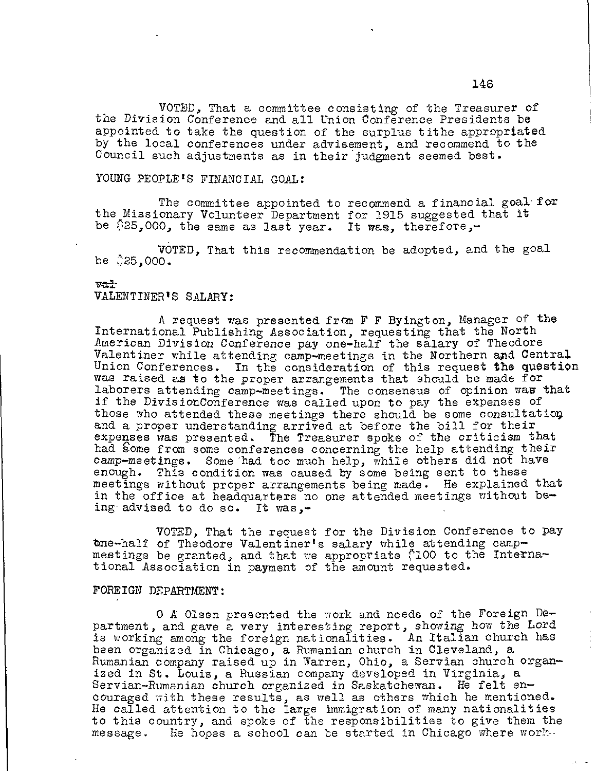VOTED, That a committee Consisting of the Treasurer of the Division Conference and all Union Conference Presidents be appointed to take the question of the surplus tithe appropriated by the local conferences under advisement, and recommend to the Council such adjustments as in their judgment seemed best.

## YOUNG PEOPLE'S FINANCIAL GOAL:

The committee appointed to recommend a financial goal for the Missionary Volunteer Department for 1915 suggested that it be  $$25,000$ , the same as last year. It was, therefore,-

VOTED, That this recommendation be adopted, and the goal be  $35,000.$ 

#### vat

## VALENTINER'S SALARY:

A request was presented from F F Byington, Manager of the International Publishing Association, requesting that the North American Division Conference pay one-half the salary of Theodore Valentiner while attending camp-meetings in the Northern and Central Union Conferences. In the consideration of this request the question was raised as to the proper arrangements that should be made for laborers attending camp-meetings. The consensus of opinion was that if the DivisionConference was called upon to pay the expenses of those who attended these meetings there should be some consultation and a proper understanding arrived at before the bill for their expenses was presented. The Treasurer spoke of the criticism that had Some from some conferences concerning the help attending their camp-meetings. Some had too much help, while others did not have enough. This condition was caused by some being sent to these meetings without proper arrangements being made. He explained that in the office at headquarters no one attended meetings without being advised to do so. It was,-

VOTED, That the request for the Division Conference to pay tme-half of Theodore Valentiner's salary while attending campmeetings be granted, and that we appropriate (100 to the International Association in payment of the amount requested.

## FOREIGN DEPARTMENT:

0 A Olsen presented the work and needs of the Foreign Department, and gave a very interesting report, showing how the Lord is working among the foreign nationalities. An Italian church has been organized in Chicago, a Rumanian church in Cleveland, a Rumanian company raised up in Warren, Ohio, a Servian church organized in St. Louis, a Russian company developed in Virginia, a Servian-Rumanian church organized in Saskatchewan. He felt encouraged with these results, as well as others which he mentioned. He called attention to the large immigration of many nationalities to this country, and spoke of the responsibilities to give them the message. He hopes a school can he started in Chicago where work--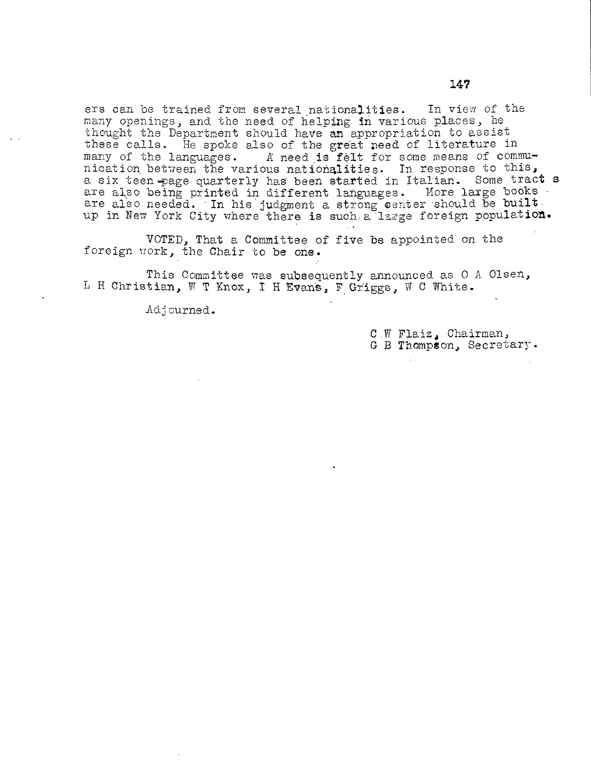ers can be trained from several nationalities. In view of the many openings, and the need of helping in various places, he thought the Department should have an appropriation to assist these calls. He spoke also of the great need of literature in many of the languages. A need is felt for some means of communication between the various nationalities. In response to this, a six teen-page quarterly has been started in Italian. Some tract s are also being printed in different languages. More large books are also needed. In his judgment a strong center should be built. up in New York City where there is such a large foreign population.

VOTED, That a Committee of five be appointed on the foreign work, the Chair to be one.

This Committee was subsequently announced as 0 A Olsen, L H Christian, W T Knox, I H Evans, F Griggs, W C White.

Adjourned.

C W Flaiz, Chairman, G B Thompson, Secretary.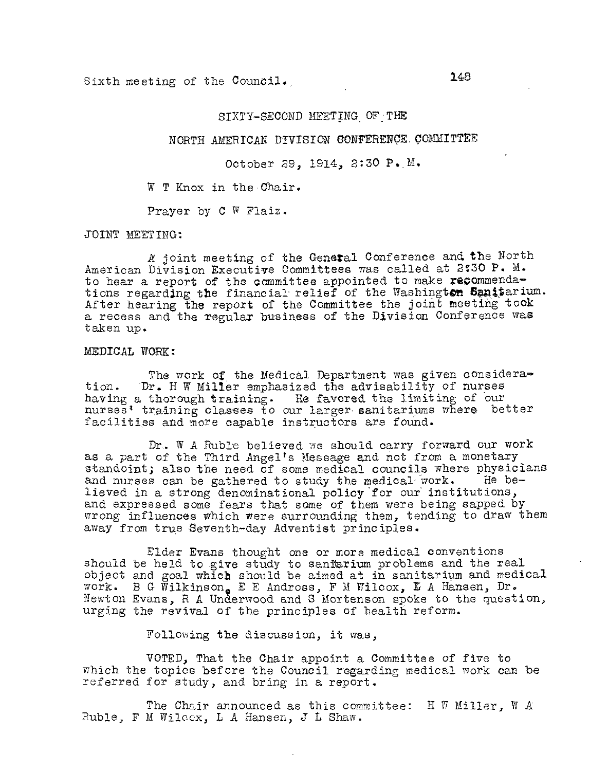Sixth meeting of the Council. 148

## SIXTY-SECOND MEETING OF THE

## NORTH AMERICAN DIVISION CONFERENCE COMMITTEE

October 29, 1914, 2:30 P. M.

W T Knox in the Chair.

Prayer by C W Flaiz.

JOINT MEETING:

A joint meeting of the General Conference and the North American Division Executive Committees was called at 2:30 P. M. to hear a report of the committee appointed to make recommendations regarding the financial relief of the Washington Sanitarium. After hearing the report of the Committee the joint meeting took a recess and the regular business of the Division Conference was taken up.

#### MEDICAL WORK:

The work of the Medical Department was given consideration. Dr. H W Miller emphasized the advisability of nurses having a thorough training. He favored the limiting of our nurses' training classes to our larger sanitariums where better facilities and more capable instructors are found.

Dr. W A Ruble believed we should carry forward our work as a part of the Third Angel's Message and not from a monetary standoint; also the need of some medical councils where physicians and nurses can be gathered to study the medical work. He beand nurses can be gathered to study the medical work. lieved in a strong denominational policy'for our institutions, and expressed some fears that some of them were being sapped by wrong influences which were surrounding them, tending to draw them away from true Beventh-day Adventist principles.

Elder Evans thought one or more medical conventions should be held to give study to saniarium problems and the real object and goal which should be aimed at in sanitarium and medical work. B G Wilkinson。E E Andross, F M Wilcox, L A Hansen, Dr. Newton Evans, R A Underwood and S Mortenson spoke to the question, urging the revival of the principles of health reform.

Following the discussion, it was,

VOTED, That the Chair appoint a Committee of five to which the topics before the Council regarding medical work can be referred for study, and bring in a report.

The Chair announced as this committee: H  $\overline{W}$  Miller,  $\overline{W}$  A Ruble, F M Wilcox, L A Hansen, J L Shaw.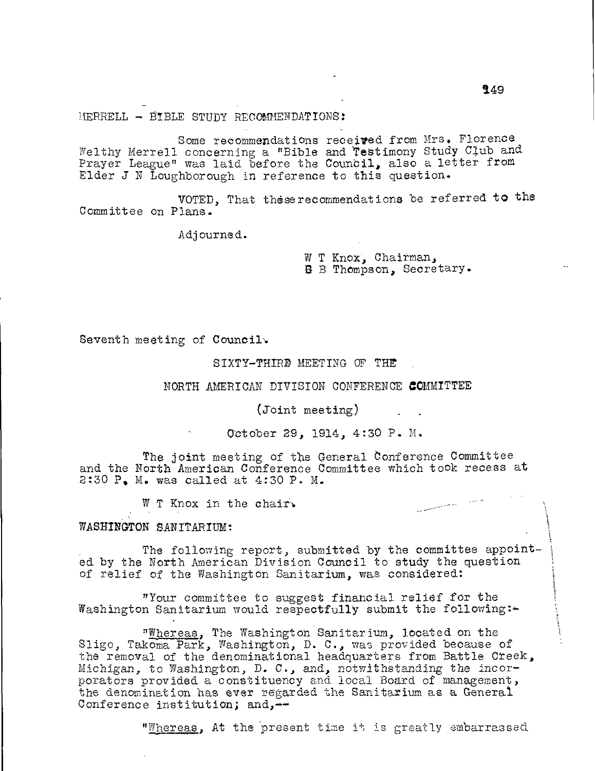MERRELL - BIBLE STUDY RECOMMENDATIONS:

Some recommendations received from Mrs. Florence Welthy Merrell concerning a "Bible and Testimony Study Club and Prayer League" was laid before the Council, also a letter from Elder J N Loughborough in reference to this question.

VOTED, That theserecommendations be referred to the Committee on Plans.

Adjourned.

W T Knox, Chairman, B B Thompson, Secretary.

Seventh meeting of Council.

SIXTY-THIRD MEETING OF THE

NORTH AMERICAN DIVISION CONFERENCE COMMITTEE

(Joint meeting)

October 29, 1914, 4:30 P. M.

The joint meeting of the General Conference Committee and the North American Conference Committee which took recess at 2:30 P, M. was called at 4:30 P. M.

W T Knox in the chair.

WASHINGTON SANITARIUM:

The following report, submitted by the committee appointed by the North American Division Council to study the question of relief of the Washington Sanitarium, was considered:

"Your committee to suggest financial relief for the Washington Sanitarium would respectfully submit the following: $\div$ 

"Whereas, The Washington Sanitarium, located on the Sligo, Takoma Park, Washington, D. C., was provided because of the removal of the denominational headquarters from Battle Creek, Michigan, to Washington, D. C., and, notwithstanding the incorporators provided a constituency and local Board of management, the denomination has ever regarded the Sanitarium as a General Conference institution; and,-

"Whereas, At the present time it is greatly embarrassed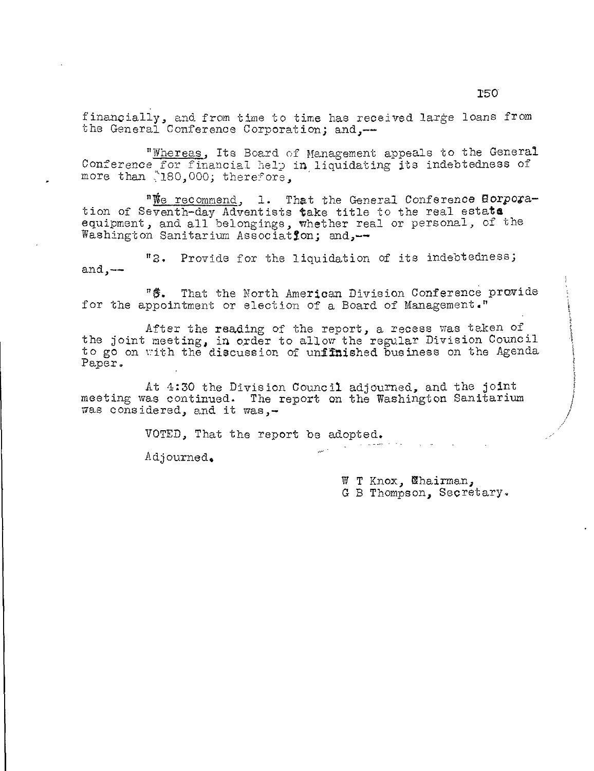financially, and from time to time has received large loans from the General Conference Corporation; and,--

"Whereas, Its Board of Management appeals to the General Conference for financial help in liquidating its indebtedness of more than "180,000; therefore.

"We recommend, 1. That the General Conference Borporation of Seventh-day Adventists take title to the real estate equipment, and all belongings, whether real or personal, of the Washington Sanitarium Association; and,--

"2. Provide for the liquidation of its indebtedness; and, $--$ 

"\$. That the North American Division Conference provide for the appointment or election of a Board of Management."

After the reading of the report, a recess was taken of the joint meeting, in order to allow the regular Division Council to go on with the discussion of unfinished business on the Agenda Paper.

At 4:30 the Division Council adjourned, and the joint meeting was continued. The report on the Washington Sanitarium was considered, and it was,-

VOTED, That the report be adopted.

Adjourned.

W T Knox, Whairman, G B Thompson, Secretary.

 $\omega_{\rm c}$  . As we set  $\omega_{\rm c}$  ,  $\omega_{\rm c}$  ,  $\omega_{\rm c}$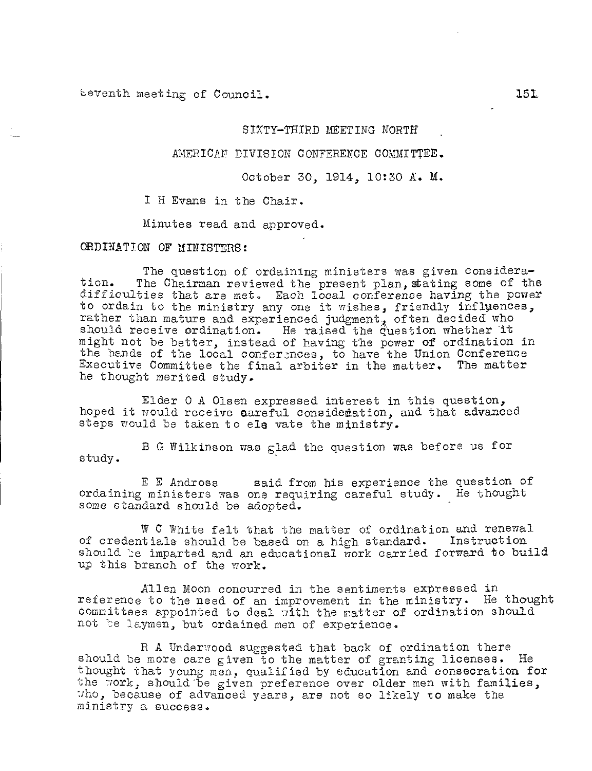teventh meeting of Council. 151,

## SIXTY-THIRD MEETING NORTH

AMERICAN DIVISION CONFERENCE COMMITTEE.

October 30, 1914, 10:30 A. M.

I H Evans in the Chair.

Minutes read and approved.

ORDINATION OF MINISTERS:

The question of ordaining ministers was given consideration. The Chairman reviewed the present plan, stating some of the difficulties that are met. Each local conference having the power to ordain to the ministry any one it wishes, friendly influences, rather than mature and experienced judgment, often decided who should receive ordination. He raised the question whether it might not be better, instead of having the power of ordination in the hands of the local conferences, to have the Union Conference Executive Committee the final arbiter in the matter. The matter he thought merited study.

Elder 0 A Olsen expressed interest in this question, hoped it would receive careful considertation, and that advanced steps would be taken to els vate the ministry.

B G Wilkinson was glad the question was before us for study.

E E Andross said from his experience the question of ordaining ministers was one requiring careful study. He thought some standard should be adopted.

W C White felt that the matter of ordination and renewal of credentials should be based on a high standard. Instruction should be imparted and an educational work carried forward to build up this branch of the work.

Allen Moon concurred in the sentiments expressed in reference to the need of an improvement in the ministry. He thought committees appointed to deal with the matter of ordination should not be laymen, but ordained men of experience.

R A Underwood suggested that back of ordination there should be more care given to the matter of granting licenses. He thought that young men, qualified by education and consecration for the work, should be given preference over older men with families, who, because of advanced years, are not so likely to make the ministry a success.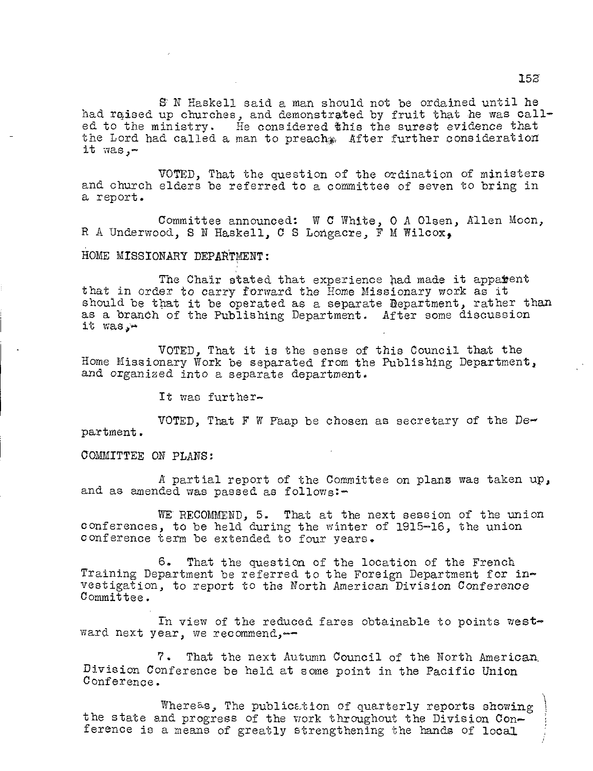st N Haskell said a man should not be ordained until he had raised up churches, and demonstrated by fruit that he was called to the ministry. He considered this the surest evidence that the Lord had called a man to preach after further consideration it was,-

VOTED, That the question of the ordination of ministers and church elders be referred to a committee of seven to bring in a report.

Committee announced: W C White, 0 A Olsen, Allen Moon, R A Underwood, S N Haskell, C S Longacre, F M Wilcox,

## HOME MISSIONARY DEPARTMENT:

The Chair stated that experience had made it apparent that in order to carry forward the Home Missionary work as it should be that it be operated as a separate Department, rather than as a branch of the Publishing Department. After some discussion it was, $-$ 

VOTED, That it is the sense of this Council that the Home Missionary Work be separated from the Publishing Department, and organized into a separate department.

It was further-

VOTED, That F W Paap be chosen as secretary of the Department.

COMMITTEE ON PLANS:

A partial report of the Committee on plans was taken up, and as amended was passed as follows:-

WE RECOMMEND, 5. That at the next session of the union conferences, to be held during the winter of 1915-16, the union conference term be extended to four years.

6. That the question of the location of the French Training Department be referred to the Foreign Department for investigation, to report to the North American Division Conference Committee.

In view of the reduced fares obtainable to points westward next year, we recommend,-

7. That the next Autumn Council of the North American. Division Conference be held at some point in the Pacific Union Conference.

Whereas, The publication of quarterly reports showing the state and progress of the work throughout the Division Conference is a means of greatly strengthening the hands of local